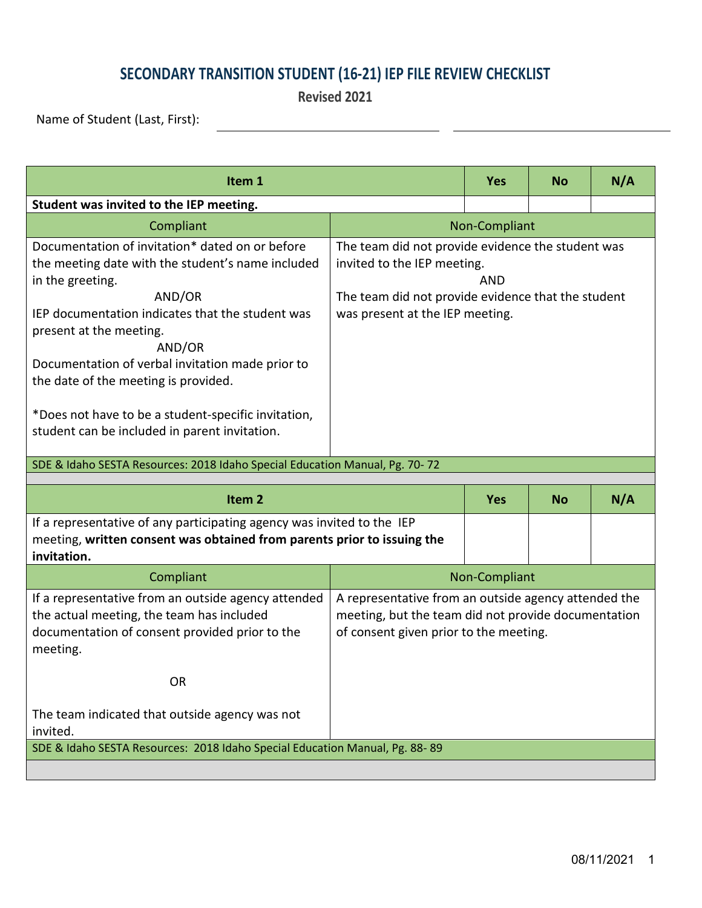## **SECONDARY TRANSITION STUDENT (16-21) IEP FILE REVIEW CHECKLIST**

**Revised 2021**

Name of Student (Last, First):

| Item 1                                                                                                                                                                                                                                                                                                                                                                                                                                                                                                         |                                                                                                                                                                                         |            | <b>No</b> | N/A |  |
|----------------------------------------------------------------------------------------------------------------------------------------------------------------------------------------------------------------------------------------------------------------------------------------------------------------------------------------------------------------------------------------------------------------------------------------------------------------------------------------------------------------|-----------------------------------------------------------------------------------------------------------------------------------------------------------------------------------------|------------|-----------|-----|--|
| Student was invited to the IEP meeting.                                                                                                                                                                                                                                                                                                                                                                                                                                                                        |                                                                                                                                                                                         |            |           |     |  |
| Compliant                                                                                                                                                                                                                                                                                                                                                                                                                                                                                                      | Non-Compliant                                                                                                                                                                           |            |           |     |  |
| Documentation of invitation* dated on or before<br>the meeting date with the student's name included<br>in the greeting.<br>AND/OR<br>IEP documentation indicates that the student was<br>present at the meeting.<br>AND/OR<br>Documentation of verbal invitation made prior to<br>the date of the meeting is provided.<br>*Does not have to be a student-specific invitation,<br>student can be included in parent invitation.<br>SDE & Idaho SESTA Resources: 2018 Idaho Special Education Manual, Pg. 70-72 | The team did not provide evidence the student was<br>invited to the IEP meeting.<br><b>AND</b><br>The team did not provide evidence that the student<br>was present at the IEP meeting. |            |           |     |  |
| Item <sub>2</sub>                                                                                                                                                                                                                                                                                                                                                                                                                                                                                              |                                                                                                                                                                                         | <b>Yes</b> | <b>No</b> | N/A |  |
| If a representative of any participating agency was invited to the IEP<br>meeting, written consent was obtained from parents prior to issuing the<br>invitation.                                                                                                                                                                                                                                                                                                                                               |                                                                                                                                                                                         |            |           |     |  |
| Compliant                                                                                                                                                                                                                                                                                                                                                                                                                                                                                                      | Non-Compliant                                                                                                                                                                           |            |           |     |  |
| If a representative from an outside agency attended<br>the actual meeting, the team has included<br>documentation of consent provided prior to the<br>meeting.<br><b>OR</b>                                                                                                                                                                                                                                                                                                                                    | A representative from an outside agency attended the<br>meeting, but the team did not provide documentation<br>of consent given prior to the meeting.                                   |            |           |     |  |
| The team indicated that outside agency was not<br>invited.                                                                                                                                                                                                                                                                                                                                                                                                                                                     |                                                                                                                                                                                         |            |           |     |  |
| SDE & Idaho SESTA Resources: 2018 Idaho Special Education Manual, Pg. 88-89                                                                                                                                                                                                                                                                                                                                                                                                                                    |                                                                                                                                                                                         |            |           |     |  |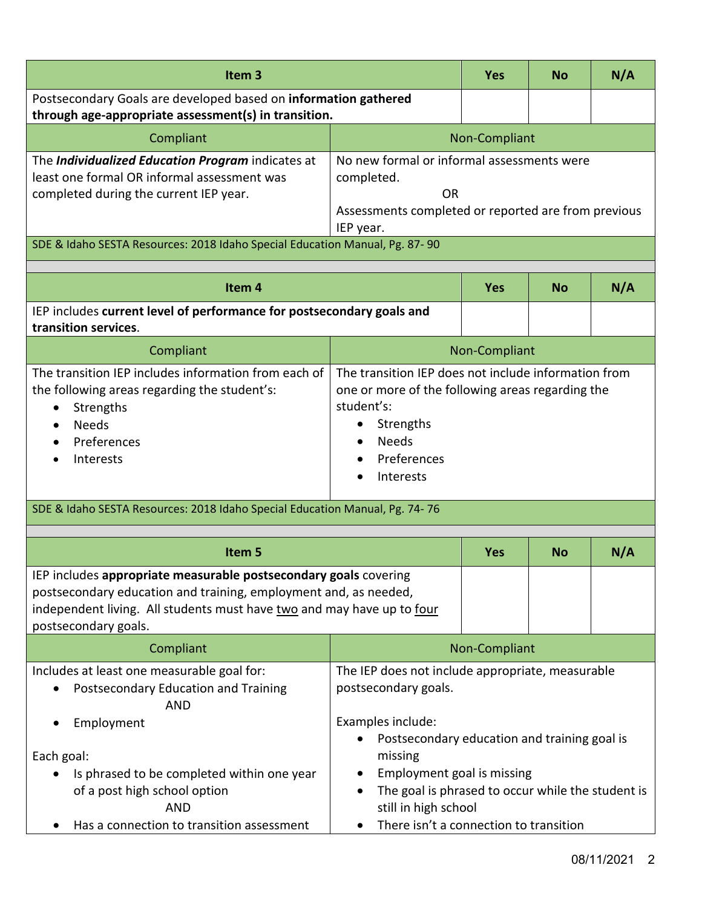| Item <sub>3</sub>                                                                                                                                                                                                                      |                                                                                                                                                                                              | <b>Yes</b>    | <b>No</b> | N/A |
|----------------------------------------------------------------------------------------------------------------------------------------------------------------------------------------------------------------------------------------|----------------------------------------------------------------------------------------------------------------------------------------------------------------------------------------------|---------------|-----------|-----|
| Postsecondary Goals are developed based on information gathered<br>through age-appropriate assessment(s) in transition.                                                                                                                |                                                                                                                                                                                              |               |           |     |
| Compliant                                                                                                                                                                                                                              |                                                                                                                                                                                              | Non-Compliant |           |     |
| The Individualized Education Program indicates at<br>least one formal OR informal assessment was<br>completed during the current IEP year.                                                                                             | No new formal or informal assessments were<br>completed.<br><b>OR</b><br>Assessments completed or reported are from previous<br>IEP year.                                                    |               |           |     |
| SDE & Idaho SESTA Resources: 2018 Idaho Special Education Manual, Pg. 87-90                                                                                                                                                            |                                                                                                                                                                                              |               |           |     |
| Item <sub>4</sub>                                                                                                                                                                                                                      |                                                                                                                                                                                              | <b>Yes</b>    | <b>No</b> | N/A |
| IEP includes current level of performance for postsecondary goals and<br>transition services.                                                                                                                                          |                                                                                                                                                                                              |               |           |     |
| Compliant                                                                                                                                                                                                                              | Non-Compliant                                                                                                                                                                                |               |           |     |
| The transition IEP includes information from each of<br>the following areas regarding the student's:<br>Strengths<br><b>Needs</b><br>Preferences<br>Interests                                                                          | The transition IEP does not include information from<br>one or more of the following areas regarding the<br>student's:<br>Strengths<br>$\bullet$<br><b>Needs</b><br>Preferences<br>Interests |               |           |     |
| SDE & Idaho SESTA Resources: 2018 Idaho Special Education Manual, Pg. 74-76                                                                                                                                                            |                                                                                                                                                                                              |               |           |     |
| Item 5                                                                                                                                                                                                                                 |                                                                                                                                                                                              | Yes           | <b>No</b> | N/A |
| IEP includes appropriate measurable postsecondary goals covering<br>postsecondary education and training, employment and, as needed,<br>independent living. All students must have two and may have up to four<br>postsecondary goals. |                                                                                                                                                                                              |               |           |     |
| Compliant                                                                                                                                                                                                                              | Non-Compliant                                                                                                                                                                                |               |           |     |
| Includes at least one measurable goal for:<br>Postsecondary Education and Training<br><b>AND</b>                                                                                                                                       | The IEP does not include appropriate, measurable<br>postsecondary goals.                                                                                                                     |               |           |     |
| Employment<br>Each goal:<br>Is phrased to be completed within one year<br>of a post high school option<br><b>AND</b>                                                                                                                   | Examples include:<br>Postsecondary education and training goal is<br>missing<br>Employment goal is missing<br>The goal is phrased to occur while the student is<br>still in high school      |               |           |     |
| Has a connection to transition assessment                                                                                                                                                                                              | There isn't a connection to transition                                                                                                                                                       |               |           |     |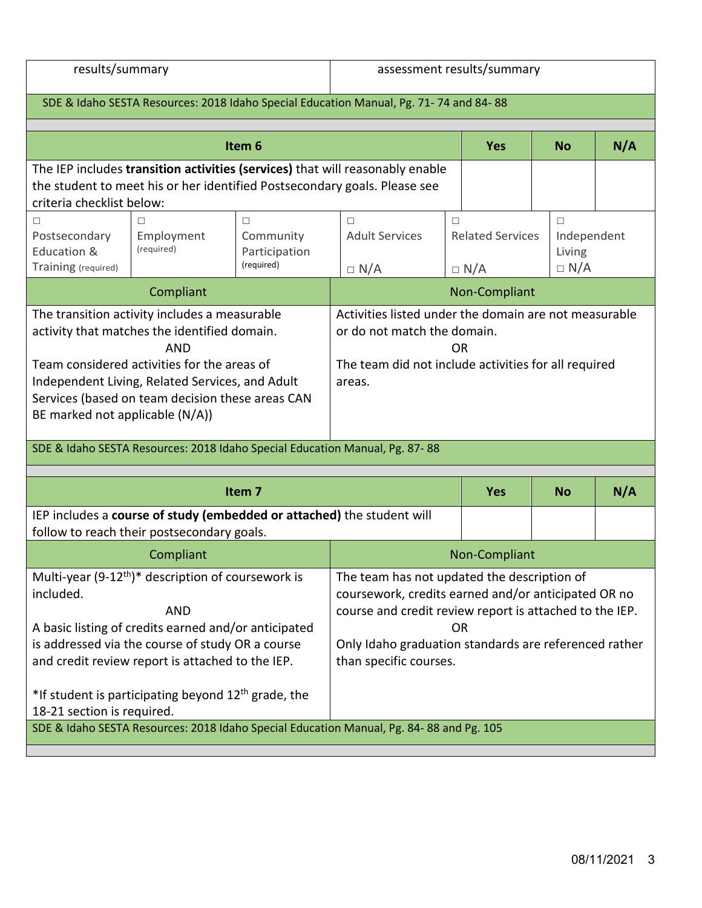results/summary assessment results/summary

| SDE & Idaho SESTA Resources: 2018 Idaho Special Education Manual, Pg. 71-74 and 84-88                                                                                                                                                                                                                |                                                                                                                                                                                                                                                                                                                 |                                                                                                                                                              |                                                                                                                                                                                                                                                               |                                                 |                                               |  |  |
|------------------------------------------------------------------------------------------------------------------------------------------------------------------------------------------------------------------------------------------------------------------------------------------------------|-----------------------------------------------------------------------------------------------------------------------------------------------------------------------------------------------------------------------------------------------------------------------------------------------------------------|--------------------------------------------------------------------------------------------------------------------------------------------------------------|---------------------------------------------------------------------------------------------------------------------------------------------------------------------------------------------------------------------------------------------------------------|-------------------------------------------------|-----------------------------------------------|--|--|
| Item <sub>6</sub>                                                                                                                                                                                                                                                                                    |                                                                                                                                                                                                                                                                                                                 |                                                                                                                                                              | <b>Yes</b>                                                                                                                                                                                                                                                    | <b>No</b>                                       | N/A                                           |  |  |
| The IEP includes transition activities (services) that will reasonably enable<br>the student to meet his or her identified Postsecondary goals. Please see<br>criteria checklist below:                                                                                                              |                                                                                                                                                                                                                                                                                                                 |                                                                                                                                                              |                                                                                                                                                                                                                                                               |                                                 |                                               |  |  |
| П<br>Postsecondary<br>Education &<br>Training (required)                                                                                                                                                                                                                                             | п<br>Employment<br>(required)                                                                                                                                                                                                                                                                                   | $\Box$<br>Community<br>Participation<br>(required)                                                                                                           | $\Box$<br><b>Adult Services</b><br>$\Box N/A$                                                                                                                                                                                                                 | $\Box$<br><b>Related Services</b><br>$\Box$ N/A | $\Box$<br>Independent<br>Living<br>$\Box N/A$ |  |  |
| Compliant                                                                                                                                                                                                                                                                                            |                                                                                                                                                                                                                                                                                                                 |                                                                                                                                                              | Non-Compliant                                                                                                                                                                                                                                                 |                                                 |                                               |  |  |
| The transition activity includes a measurable<br>activity that matches the identified domain.<br><b>AND</b><br>Team considered activities for the areas of<br>Independent Living, Related Services, and Adult<br>Services (based on team decision these areas CAN<br>BE marked not applicable (N/A)) |                                                                                                                                                                                                                                                                                                                 | Activities listed under the domain are not measurable<br>or do not match the domain.<br>0R<br>The team did not include activities for all required<br>areas. |                                                                                                                                                                                                                                                               |                                                 |                                               |  |  |
| SDE & Idaho SESTA Resources: 2018 Idaho Special Education Manual, Pg. 87-88                                                                                                                                                                                                                          |                                                                                                                                                                                                                                                                                                                 |                                                                                                                                                              |                                                                                                                                                                                                                                                               |                                                 |                                               |  |  |
| Item <sub>7</sub>                                                                                                                                                                                                                                                                                    |                                                                                                                                                                                                                                                                                                                 |                                                                                                                                                              | <b>Yes</b>                                                                                                                                                                                                                                                    | <b>No</b>                                       | N/A                                           |  |  |
| IEP includes a course of study (embedded or attached) the student will<br>follow to reach their postsecondary goals.                                                                                                                                                                                 |                                                                                                                                                                                                                                                                                                                 |                                                                                                                                                              |                                                                                                                                                                                                                                                               |                                                 |                                               |  |  |
|                                                                                                                                                                                                                                                                                                      | Compliant                                                                                                                                                                                                                                                                                                       |                                                                                                                                                              | Non-Compliant                                                                                                                                                                                                                                                 |                                                 |                                               |  |  |
| included.<br>18-21 section is required.                                                                                                                                                                                                                                                              | Multi-year (9-12 <sup>th</sup> )* description of coursework is<br><b>AND</b><br>A basic listing of credits earned and/or anticipated<br>is addressed via the course of study OR a course<br>and credit review report is attached to the IEP.<br>*If student is participating beyond 12 <sup>th</sup> grade, the |                                                                                                                                                              | The team has not updated the description of<br>coursework, credits earned and/or anticipated OR no<br>course and credit review report is attached to the IEP.<br><b>OR</b><br>Only Idaho graduation standards are referenced rather<br>than specific courses. |                                                 |                                               |  |  |
| SDE & Idaho SESTA Resources: 2018 Idaho Special Education Manual, Pg. 84-88 and Pg. 105                                                                                                                                                                                                              |                                                                                                                                                                                                                                                                                                                 |                                                                                                                                                              |                                                                                                                                                                                                                                                               |                                                 |                                               |  |  |